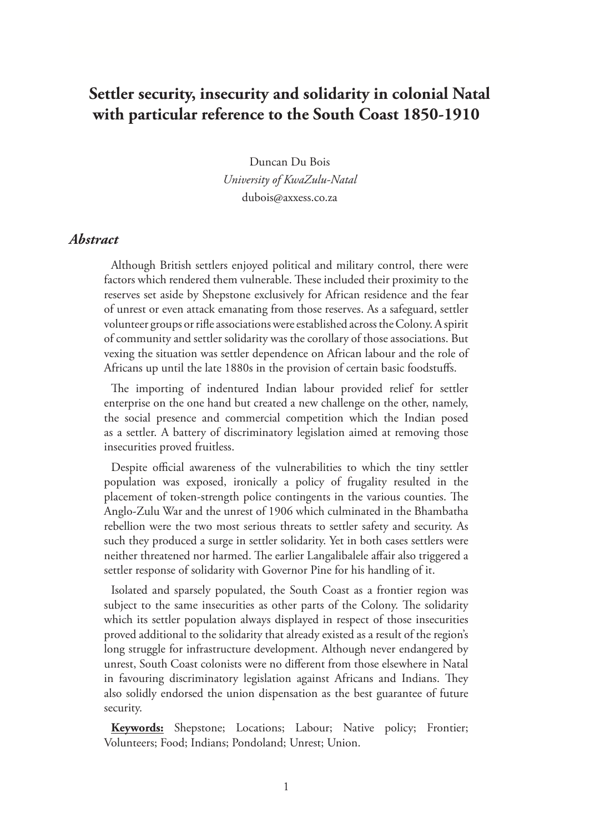# **Settler security, insecurity and solidarity in colonial Natal with particular reference to the South Coast 1850-1910**

Duncan Du Bois *University of KwaZulu-Natal* dubois@axxess.co.za

#### *Abstract*

Although British settlers enjoyed political and military control, there were factors which rendered them vulnerable. These included their proximity to the reserves set aside by Shepstone exclusively for African residence and the fear of unrest or even attack emanating from those reserves. As a safeguard, settler volunteer groups or rifle associations were established across the Colony. A spirit of community and settler solidarity was the corollary of those associations. But vexing the situation was settler dependence on African labour and the role of Africans up until the late 1880s in the provision of certain basic foodstuffs.

The importing of indentured Indian labour provided relief for settler enterprise on the one hand but created a new challenge on the other, namely, the social presence and commercial competition which the Indian posed as a settler. A battery of discriminatory legislation aimed at removing those insecurities proved fruitless.

Despite official awareness of the vulnerabilities to which the tiny settler population was exposed, ironically a policy of frugality resulted in the placement of token-strength police contingents in the various counties. The Anglo-Zulu War and the unrest of 1906 which culminated in the Bhambatha rebellion were the two most serious threats to settler safety and security. As such they produced a surge in settler solidarity. Yet in both cases settlers were neither threatened nor harmed. The earlier Langalibalele affair also triggered a settler response of solidarity with Governor Pine for his handling of it.

Isolated and sparsely populated, the South Coast as a frontier region was subject to the same insecurities as other parts of the Colony. The solidarity which its settler population always displayed in respect of those insecurities proved additional to the solidarity that already existed as a result of the region's long struggle for infrastructure development. Although never endangered by unrest, South Coast colonists were no different from those elsewhere in Natal in favouring discriminatory legislation against Africans and Indians. They also solidly endorsed the union dispensation as the best guarantee of future security.

**Keywords:** Shepstone; Locations; Labour; Native policy; Frontier; Volunteers; Food; Indians; Pondoland; Unrest; Union.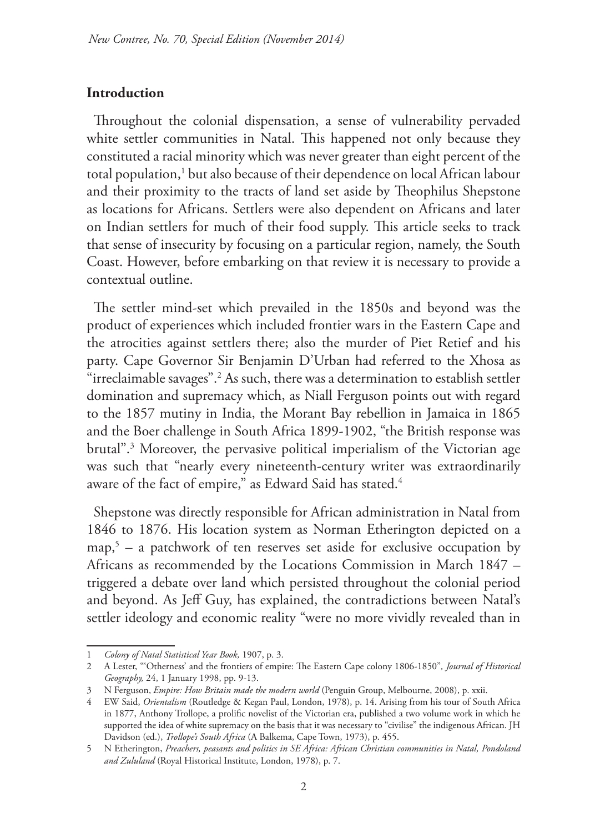## **Introduction**

Throughout the colonial dispensation, a sense of vulnerability pervaded white settler communities in Natal. This happened not only because they constituted a racial minority which was never greater than eight percent of the total population,<sup>1</sup> but also because of their dependence on local African labour and their proximity to the tracts of land set aside by Theophilus Shepstone as locations for Africans. Settlers were also dependent on Africans and later on Indian settlers for much of their food supply. This article seeks to track that sense of insecurity by focusing on a particular region, namely, the South Coast. However, before embarking on that review it is necessary to provide a contextual outline.

The settler mind-set which prevailed in the 1850s and beyond was the product of experiences which included frontier wars in the Eastern Cape and the atrocities against settlers there; also the murder of Piet Retief and his party. Cape Governor Sir Benjamin D'Urban had referred to the Xhosa as "irreclaimable savages".2 As such, there was a determination to establish settler domination and supremacy which, as Niall Ferguson points out with regard to the 1857 mutiny in India, the Morant Bay rebellion in Jamaica in 1865 and the Boer challenge in South Africa 1899-1902, "the British response was brutal".3 Moreover, the pervasive political imperialism of the Victorian age was such that "nearly every nineteenth-century writer was extraordinarily aware of the fact of empire," as Edward Said has stated.<sup>4</sup>

Shepstone was directly responsible for African administration in Natal from 1846 to 1876. His location system as Norman Etherington depicted on a map,5 – a patchwork of ten reserves set aside for exclusive occupation by Africans as recommended by the Locations Commission in March 1847 – triggered a debate over land which persisted throughout the colonial period and beyond. As Jeff Guy, has explained, the contradictions between Natal's settler ideology and economic reality "were no more vividly revealed than in

<sup>1</sup> *Colony of Natal Statistical Year Book,* 1907, p. 3.

<sup>2</sup> A Lester, "'Otherness' and the frontiers of empire: The Eastern Cape colony 1806-1850"*, Journal of Historical Geography,* 24, 1 January 1998, pp. 9-13.

<sup>3</sup> N Ferguson, *Empire: How Britain made the modern world* (Penguin Group, Melbourne, 2008), p. xxii.

<sup>4</sup> EW Said, *Orientalism* (Routledge & Kegan Paul, London, 1978), p. 14. Arising from his tour of South Africa in 1877, Anthony Trollope, a prolific novelist of the Victorian era, published a two volume work in which he supported the idea of white supremacy on the basis that it was necessary to "civilise" the indigenous African. JH Davidson (ed.), *Trollope's South Africa* (A Balkema, Cape Town, 1973), p. 455.

<sup>5</sup> N Etherington, *Preachers, peasants and politics in SE Africa: African Christian communities in Natal, Pondoland and Zululand* (Royal Historical Institute, London, 1978), p. 7.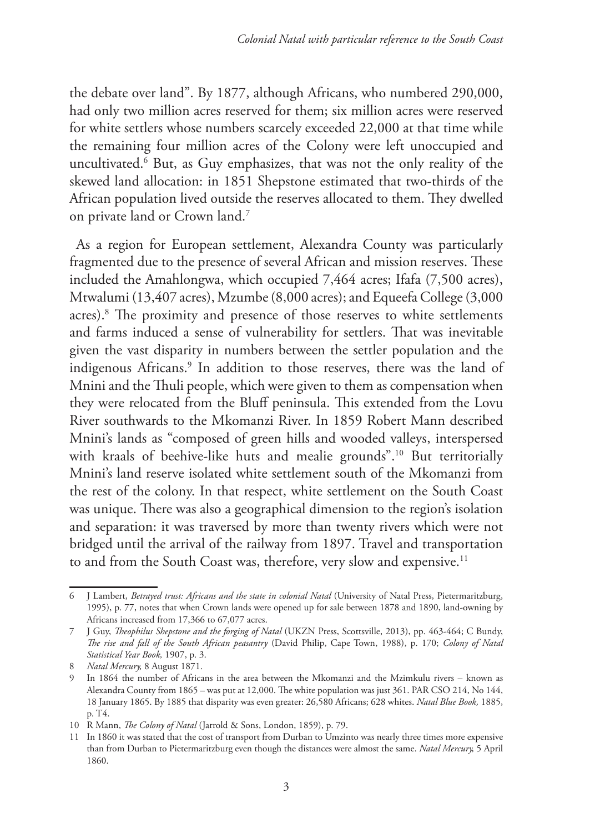the debate over land". By 1877, although Africans, who numbered 290,000, had only two million acres reserved for them; six million acres were reserved for white settlers whose numbers scarcely exceeded 22,000 at that time while the remaining four million acres of the Colony were left unoccupied and uncultivated.6 But, as Guy emphasizes, that was not the only reality of the skewed land allocation: in 1851 Shepstone estimated that two-thirds of the African population lived outside the reserves allocated to them. They dwelled on private land or Crown land.7

As a region for European settlement, Alexandra County was particularly fragmented due to the presence of several African and mission reserves. These included the Amahlongwa, which occupied 7,464 acres; Ifafa (7,500 acres), Mtwalumi (13,407 acres), Mzumbe (8,000 acres); and Equeefa College (3,000 acres).8 The proximity and presence of those reserves to white settlements and farms induced a sense of vulnerability for settlers. That was inevitable given the vast disparity in numbers between the settler population and the indigenous Africans.9 In addition to those reserves, there was the land of Mnini and the Thuli people, which were given to them as compensation when they were relocated from the Bluff peninsula. This extended from the Lovu River southwards to the Mkomanzi River. In 1859 Robert Mann described Mnini's lands as "composed of green hills and wooded valleys, interspersed with kraals of beehive-like huts and mealie grounds".<sup>10</sup> But territorially Mnini's land reserve isolated white settlement south of the Mkomanzi from the rest of the colony. In that respect, white settlement on the South Coast was unique. There was also a geographical dimension to the region's isolation and separation: it was traversed by more than twenty rivers which were not bridged until the arrival of the railway from 1897. Travel and transportation to and from the South Coast was, therefore, very slow and expensive.<sup>11</sup>

<sup>6</sup> J Lambert, *Betrayed trust: Africans and the state in colonial Natal* (University of Natal Press, Pietermaritzburg, 1995), p. 77, notes that when Crown lands were opened up for sale between 1878 and 1890, land-owning by Africans increased from 17,366 to 67,077 acres.

<sup>7</sup> J Guy, *Theophilus Shepstone and the forging of Natal* (UKZN Press, Scottsville, 2013), pp. 463-464; C Bundy, *The rise and fall of the South African peasantry* (David Philip, Cape Town, 1988), p. 170; *Colony of Natal Statistical Year Book,* 1907, p. 3.

<sup>8</sup> *Natal Mercury,* 8 August 1871.

<sup>9</sup> In 1864 the number of Africans in the area between the Mkomanzi and the Mzimkulu rivers – known as Alexandra County from 1865 – was put at 12,000. The white population was just 361. PAR CSO 214, No 144, 18 January 1865. By 1885 that disparity was even greater: 26,580 Africans; 628 whites. *Natal Blue Book,* 1885, p. T4.

<sup>10</sup> R Mann, *The Colony of Natal* (Jarrold & Sons, London, 1859), p. 79.

<sup>11</sup> In 1860 it was stated that the cost of transport from Durban to Umzinto was nearly three times more expensive than from Durban to Pietermaritzburg even though the distances were almost the same. *Natal Mercury,* 5 April 1860.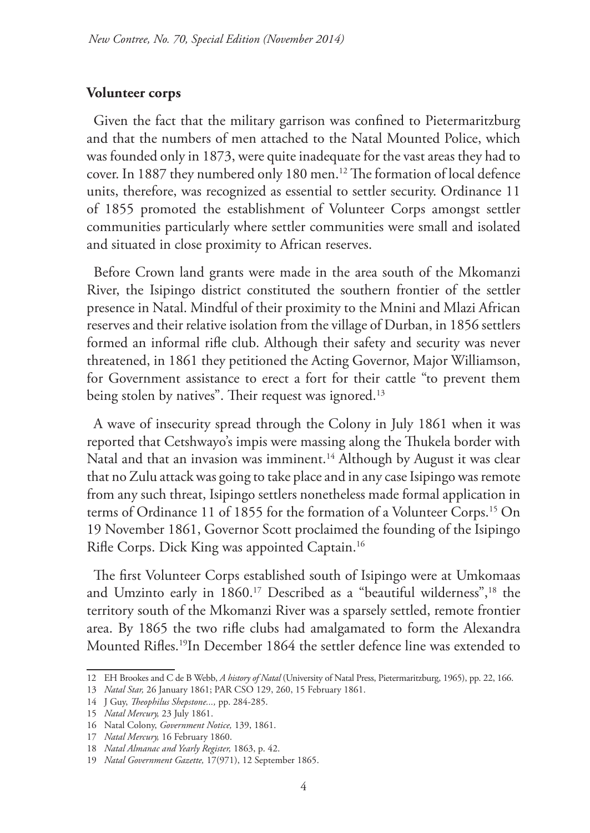## **Volunteer corps**

Given the fact that the military garrison was confined to Pietermaritzburg and that the numbers of men attached to the Natal Mounted Police, which was founded only in 1873, were quite inadequate for the vast areas they had to cover. In 1887 they numbered only 180 men.<sup>12</sup> The formation of local defence units, therefore, was recognized as essential to settler security. Ordinance 11 of 1855 promoted the establishment of Volunteer Corps amongst settler communities particularly where settler communities were small and isolated and situated in close proximity to African reserves.

Before Crown land grants were made in the area south of the Mkomanzi River, the Isipingo district constituted the southern frontier of the settler presence in Natal. Mindful of their proximity to the Mnini and Mlazi African reserves and their relative isolation from the village of Durban, in 1856 settlers formed an informal rifle club. Although their safety and security was never threatened, in 1861 they petitioned the Acting Governor, Major Williamson, for Government assistance to erect a fort for their cattle "to prevent them being stolen by natives". Their request was ignored.<sup>13</sup>

A wave of insecurity spread through the Colony in July 1861 when it was reported that Cetshwayo's impis were massing along the Thukela border with Natal and that an invasion was imminent.<sup>14</sup> Although by August it was clear that no Zulu attack was going to take place and in any case Isipingo was remote from any such threat, Isipingo settlers nonetheless made formal application in terms of Ordinance 11 of 1855 for the formation of a Volunteer Corps.<sup>15</sup> On 19 November 1861, Governor Scott proclaimed the founding of the Isipingo Rifle Corps. Dick King was appointed Captain.16

The first Volunteer Corps established south of Isipingo were at Umkomaas and Umzinto early in 1860.<sup>17</sup> Described as a "beautiful wilderness",<sup>18</sup> the territory south of the Mkomanzi River was a sparsely settled, remote frontier area. By 1865 the two rifle clubs had amalgamated to form the Alexandra Mounted Rifles.19In December 1864 the settler defence line was extended to

<sup>12</sup> EH Brookes and C de B Webb, *A history of Natal* (University of Natal Press, Pietermaritzburg, 1965), pp. 22, 166.

<sup>13</sup> *Natal Star,* 26 January 1861; PAR CSO 129, 260, 15 February 1861.

<sup>14</sup> J Guy, *Theophilus Shepstone...,* pp. 284-285.

<sup>15</sup> *Natal Mercury,* 23 July 1861.

<sup>16</sup> Natal Colony, *Government Notice,* 139, 1861.

<sup>17</sup> *Natal Mercury,* 16 February 1860.

<sup>18</sup> *Natal Almanac and Yearly Register,* 1863, p. 42.

<sup>19</sup> *Natal Government Gazette,* 17(971), 12 September 1865.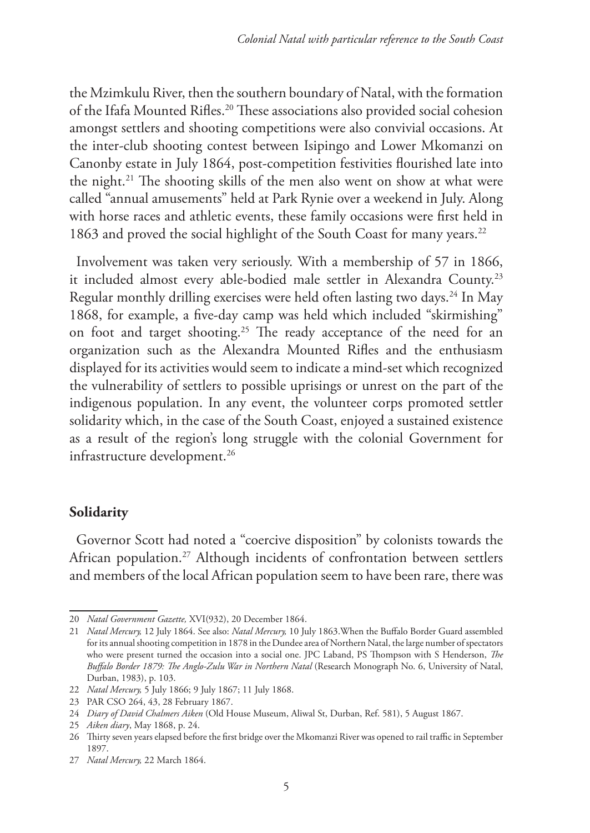the Mzimkulu River, then the southern boundary of Natal, with the formation of the Ifafa Mounted Rifles.20 These associations also provided social cohesion amongst settlers and shooting competitions were also convivial occasions. At the inter-club shooting contest between Isipingo and Lower Mkomanzi on Canonby estate in July 1864, post-competition festivities flourished late into the night.<sup>21</sup> The shooting skills of the men also went on show at what were called "annual amusements" held at Park Rynie over a weekend in July. Along with horse races and athletic events, these family occasions were first held in 1863 and proved the social highlight of the South Coast for many years.<sup>22</sup>

Involvement was taken very seriously. With a membership of 57 in 1866, it included almost every able-bodied male settler in Alexandra County.23 Regular monthly drilling exercises were held often lasting two days.<sup>24</sup> In May 1868, for example, a five-day camp was held which included "skirmishing" on foot and target shooting.<sup>25</sup> The ready acceptance of the need for an organization such as the Alexandra Mounted Rifles and the enthusiasm displayed for its activities would seem to indicate a mind-set which recognized the vulnerability of settlers to possible uprisings or unrest on the part of the indigenous population. In any event, the volunteer corps promoted settler solidarity which, in the case of the South Coast, enjoyed a sustained existence as a result of the region's long struggle with the colonial Government for infrastructure development.<sup>26</sup>

## **Solidarity**

Governor Scott had noted a "coercive disposition" by colonists towards the African population.<sup>27</sup> Although incidents of confrontation between settlers and members of the local African population seem to have been rare, there was

<sup>20</sup> *Natal Government Gazette,* XVI(932), 20 December 1864.

<sup>21</sup> *Natal Mercury,* 12 July 1864. See also: *Natal Mercury,* 10 July 1863.When the Buffalo Border Guard assembled for its annual shooting competition in 1878 in the Dundee area of Northern Natal, the large number of spectators who were present turned the occasion into a social one. JPC Laband, PS Thompson with S Henderson, *The Buffalo Border 1879: The Anglo-Zulu War in Northern Natal* (Research Monograph No. 6, University of Natal, Durban, 1983), p. 103.

<sup>22</sup> *Natal Mercury,* 5 July 1866; 9 July 1867; 11 July 1868.

<sup>23</sup> PAR CSO 264, 43, 28 February 1867.

<sup>24</sup> *Diary of David Chalmers Aiken* (Old House Museum, Aliwal St, Durban, Ref. 581), 5 August 1867.

<sup>25</sup> *Aiken diary*, May 1868, p. 24.

<sup>26</sup> Thirty seven years elapsed before the first bridge over the Mkomanzi River was opened to rail traffic in September 1897.

<sup>27</sup> *Natal Mercury,* 22 March 1864.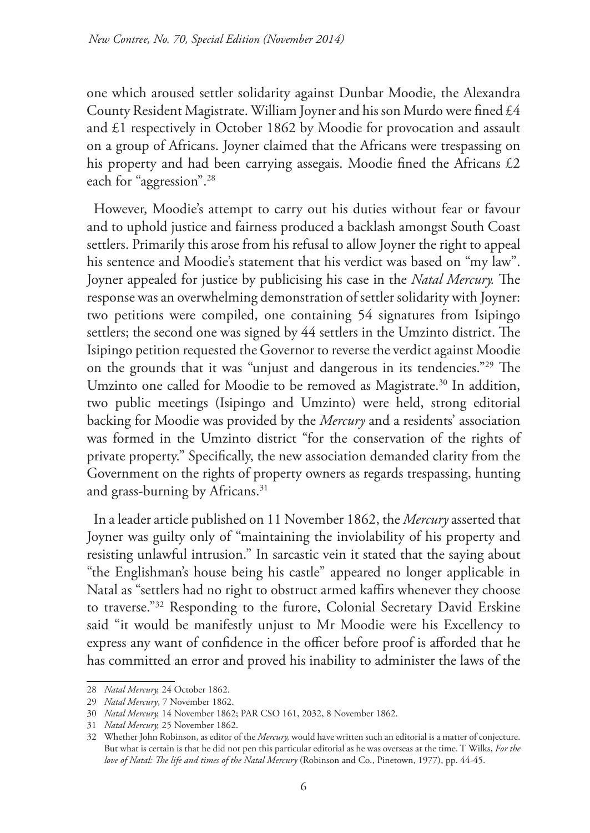one which aroused settler solidarity against Dunbar Moodie, the Alexandra County Resident Magistrate. William Joyner and his son Murdo were fined £4 and £1 respectively in October 1862 by Moodie for provocation and assault on a group of Africans. Joyner claimed that the Africans were trespassing on his property and had been carrying assegais. Moodie fined the Africans £2 each for "aggression".28

However, Moodie's attempt to carry out his duties without fear or favour and to uphold justice and fairness produced a backlash amongst South Coast settlers. Primarily this arose from his refusal to allow Joyner the right to appeal his sentence and Moodie's statement that his verdict was based on "my law". Joyner appealed for justice by publicising his case in the *Natal Mercury.* The response was an overwhelming demonstration of settler solidarity with Joyner: two petitions were compiled, one containing 54 signatures from Isipingo settlers; the second one was signed by 44 settlers in the Umzinto district. The Isipingo petition requested the Governor to reverse the verdict against Moodie on the grounds that it was "unjust and dangerous in its tendencies."29 The Umzinto one called for Moodie to be removed as Magistrate.<sup>30</sup> In addition, two public meetings (Isipingo and Umzinto) were held, strong editorial backing for Moodie was provided by the *Mercury* and a residents' association was formed in the Umzinto district "for the conservation of the rights of private property." Specifically, the new association demanded clarity from the Government on the rights of property owners as regards trespassing, hunting and grass-burning by Africans.<sup>31</sup>

In a leader article published on 11 November 1862, the *Mercury* asserted that Joyner was guilty only of "maintaining the inviolability of his property and resisting unlawful intrusion." In sarcastic vein it stated that the saying about "the Englishman's house being his castle" appeared no longer applicable in Natal as "settlers had no right to obstruct armed kaffirs whenever they choose to traverse."32 Responding to the furore, Colonial Secretary David Erskine said "it would be manifestly unjust to Mr Moodie were his Excellency to express any want of confidence in the officer before proof is afforded that he has committed an error and proved his inability to administer the laws of the

<sup>28</sup> *Natal Mercury,* 24 October 1862.

<sup>29</sup> *Natal Mercury*, 7 November 1862.

<sup>30</sup> *Natal Mercury,* 14 November 1862; PAR CSO 161, 2032, 8 November 1862.

<sup>31</sup> *Natal Mercury,* 25 November 1862.

<sup>32</sup> Whether John Robinson, as editor of the *Mercury,* would have written such an editorial is a matter of conjecture. But what is certain is that he did not pen this particular editorial as he was overseas at the time. T Wilks, *For the love of Natal: The life and times of the Natal Mercury* (Robinson and Co., Pinetown, 1977), pp. 44-45.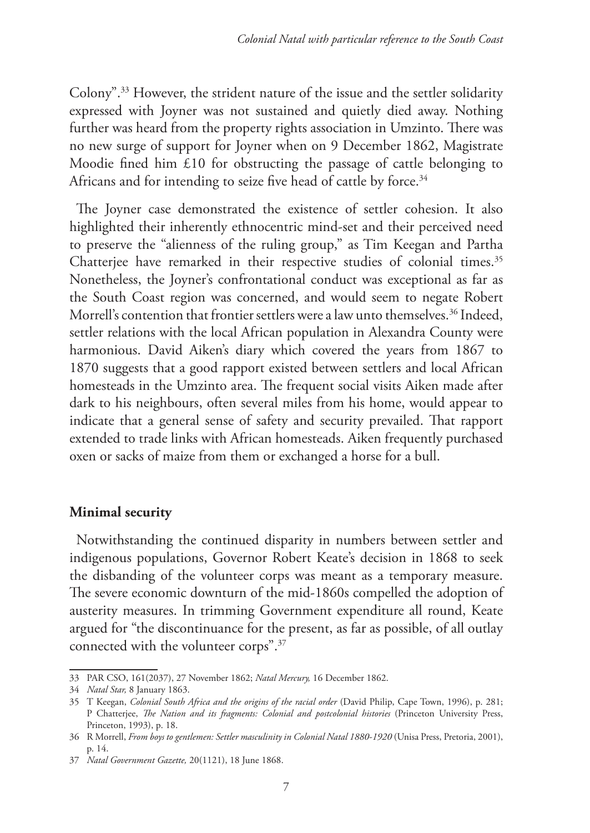Colony".33 However, the strident nature of the issue and the settler solidarity expressed with Joyner was not sustained and quietly died away. Nothing further was heard from the property rights association in Umzinto. There was no new surge of support for Joyner when on 9 December 1862, Magistrate Moodie fined him £10 for obstructing the passage of cattle belonging to Africans and for intending to seize five head of cattle by force.<sup>34</sup>

The Joyner case demonstrated the existence of settler cohesion. It also highlighted their inherently ethnocentric mind-set and their perceived need to preserve the "alienness of the ruling group," as Tim Keegan and Partha Chatterjee have remarked in their respective studies of colonial times.<sup>35</sup> Nonetheless, the Joyner's confrontational conduct was exceptional as far as the South Coast region was concerned, and would seem to negate Robert Morrell's contention that frontier settlers were a law unto themselves.<sup>36</sup> Indeed, settler relations with the local African population in Alexandra County were harmonious. David Aiken's diary which covered the years from 1867 to 1870 suggests that a good rapport existed between settlers and local African homesteads in the Umzinto area. The frequent social visits Aiken made after dark to his neighbours, often several miles from his home, would appear to indicate that a general sense of safety and security prevailed. That rapport extended to trade links with African homesteads. Aiken frequently purchased oxen or sacks of maize from them or exchanged a horse for a bull.

## **Minimal security**

Notwithstanding the continued disparity in numbers between settler and indigenous populations, Governor Robert Keate's decision in 1868 to seek the disbanding of the volunteer corps was meant as a temporary measure. The severe economic downturn of the mid-1860s compelled the adoption of austerity measures. In trimming Government expenditure all round, Keate argued for "the discontinuance for the present, as far as possible, of all outlay connected with the volunteer corps".37

<sup>33</sup> PAR CSO, 161(2037), 27 November 1862; *Natal Mercury,* 16 December 1862.

<sup>34</sup> *Natal Star,* 8 January 1863.

<sup>35</sup> T Keegan, *Colonial South Africa and the origins of the racial order* (David Philip, Cape Town, 1996), p. 281; P Chatterjee, *The Nation and its fragments: Colonial and postcolonial histories* (Princeton University Press, Princeton, 1993), p. 18.

<sup>36</sup> R Morrell, *From boys to gentlemen: Settler masculinity in Colonial Natal 1880-1920* (Unisa Press, Pretoria, 2001), p. 14.

<sup>37</sup> *Natal Government Gazette,* 20(1121), 18 June 1868.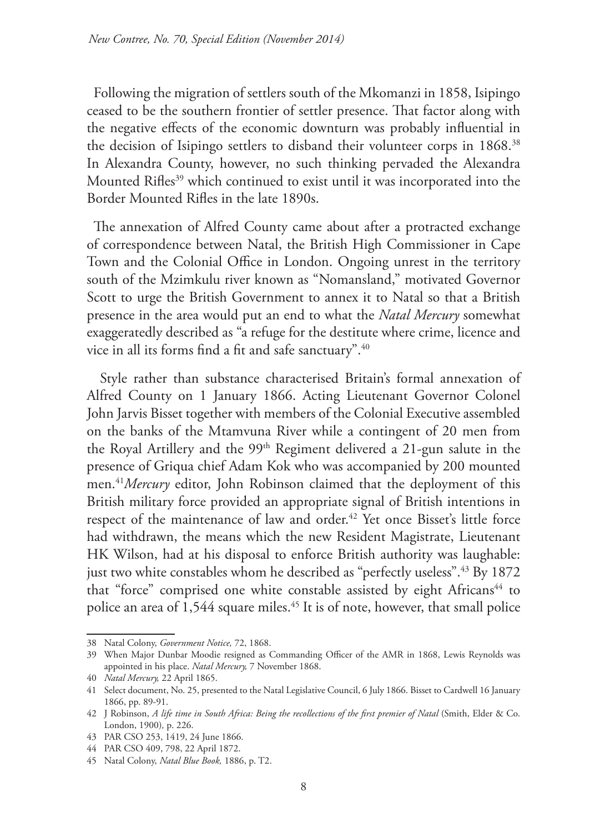Following the migration of settlers south of the Mkomanzi in 1858, Isipingo ceased to be the southern frontier of settler presence. That factor along with the negative effects of the economic downturn was probably influential in the decision of Isipingo settlers to disband their volunteer corps in 1868.<sup>38</sup> In Alexandra County, however, no such thinking pervaded the Alexandra Mounted Rifles<sup>39</sup> which continued to exist until it was incorporated into the Border Mounted Rifles in the late 1890s.

The annexation of Alfred County came about after a protracted exchange of correspondence between Natal, the British High Commissioner in Cape Town and the Colonial Office in London. Ongoing unrest in the territory south of the Mzimkulu river known as "Nomansland," motivated Governor Scott to urge the British Government to annex it to Natal so that a British presence in the area would put an end to what the *Natal Mercury* somewhat exaggeratedly described as "a refuge for the destitute where crime, licence and vice in all its forms find a fit and safe sanctuary".40

 Style rather than substance characterised Britain's formal annexation of Alfred County on 1 January 1866. Acting Lieutenant Governor Colonel John Jarvis Bisset together with members of the Colonial Executive assembled on the banks of the Mtamvuna River while a contingent of 20 men from the Royal Artillery and the 99<sup>th</sup> Regiment delivered a 21-gun salute in the presence of Griqua chief Adam Kok who was accompanied by 200 mounted men.41*Mercury* editor, John Robinson claimed that the deployment of this British military force provided an appropriate signal of British intentions in respect of the maintenance of law and order.<sup>42</sup> Yet once Bisset's little force had withdrawn, the means which the new Resident Magistrate, Lieutenant HK Wilson, had at his disposal to enforce British authority was laughable: just two white constables whom he described as "perfectly useless".<sup>43</sup> By 1872 that "force" comprised one white constable assisted by eight Africans<sup>44</sup> to police an area of  $1,544$  square miles.<sup>45</sup> It is of note, however, that small police

<sup>38</sup> Natal Colony, *Government Notice,* 72, 1868.

<sup>39</sup> When Major Dunbar Moodie resigned as Commanding Officer of the AMR in 1868, Lewis Reynolds was appointed in his place. *Natal Mercury,* 7 November 1868.

<sup>40</sup> *Natal Mercury,* 22 April 1865.

<sup>41</sup> Select document, No. 25, presented to the Natal Legislative Council, 6 July 1866. Bisset to Cardwell 16 January 1866, pp. 89-91.

<sup>42</sup> J Robinson, *A life time in South Africa: Being the recollections of the first premier of Natal* (Smith, Elder & Co. London, 1900)*,* p. 226.

<sup>43</sup> PAR CSO 253, 1419, 24 June 1866.

<sup>44</sup> PAR CSO 409, 798, 22 April 1872.

<sup>45</sup> Natal Colony, *Natal Blue Book,* 1886, p. T2.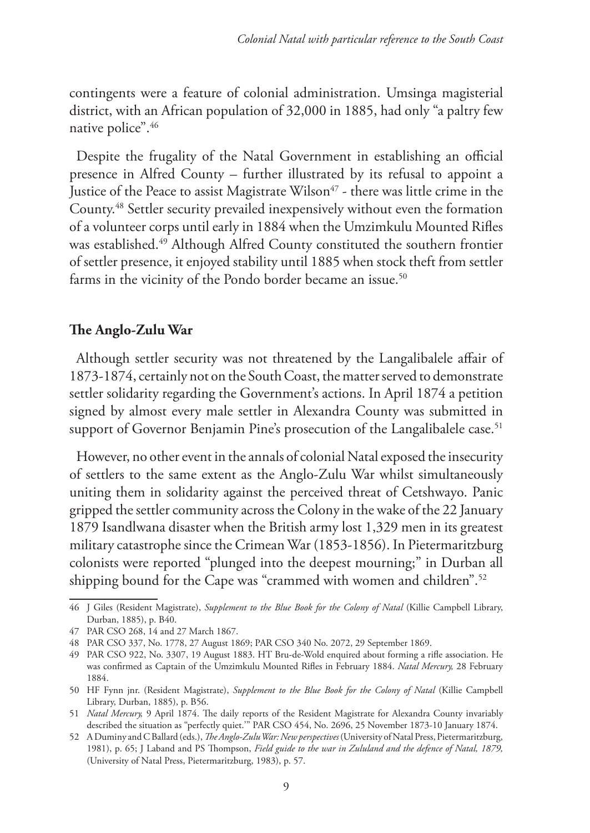contingents were a feature of colonial administration. Umsinga magisterial district, with an African population of 32,000 in 1885, had only "a paltry few native police".46

Despite the frugality of the Natal Government in establishing an official presence in Alfred County – further illustrated by its refusal to appoint a Justice of the Peace to assist Magistrate Wilson<sup>47</sup> - there was little crime in the County.48 Settler security prevailed inexpensively without even the formation of a volunteer corps until early in 1884 when the Umzimkulu Mounted Rifles was established.49 Although Alfred County constituted the southern frontier of settler presence, it enjoyed stability until 1885 when stock theft from settler farms in the vicinity of the Pondo border became an issue.<sup>50</sup>

# **The Anglo-Zulu War**

Although settler security was not threatened by the Langalibalele affair of 1873-1874, certainly not on the South Coast, the matter served to demonstrate settler solidarity regarding the Government's actions. In April 1874 a petition signed by almost every male settler in Alexandra County was submitted in support of Governor Benjamin Pine's prosecution of the Langalibalele case.<sup>51</sup>

However, no other event in the annals of colonial Natal exposed the insecurity of settlers to the same extent as the Anglo-Zulu War whilst simultaneously uniting them in solidarity against the perceived threat of Cetshwayo. Panic gripped the settler community across the Colony in the wake of the 22 January 1879 Isandlwana disaster when the British army lost 1,329 men in its greatest military catastrophe since the Crimean War (1853-1856). In Pietermaritzburg colonists were reported "plunged into the deepest mourning;" in Durban all shipping bound for the Cape was "crammed with women and children".<sup>52</sup>

<sup>46</sup> J Giles (Resident Magistrate), *Supplement to the Blue Book for the Colony of Natal* (Killie Campbell Library, Durban, 1885), p. B40.

<sup>47</sup> PAR CSO 268, 14 and 27 March 1867.

<sup>48</sup> PAR CSO 337, No. 1778, 27 August 1869; PAR CSO 340 No. 2072, 29 September 1869.

<sup>49</sup> PAR CSO 922, No. 3307, 19 August 1883. HT Bru-de-Wold enquired about forming a rifle association. He was confirmed as Captain of the Umzimkulu Mounted Rifles in February 1884. *Natal Mercury,* 28 February 1884.

<sup>50</sup> HF Fynn jnr. (Resident Magistrate), *Supplement to the Blue Book for the Colony of Natal* (Killie Campbell Library, Durban, 1885), p. B56.

<sup>51</sup> *Natal Mercury,* 9 April 1874. The daily reports of the Resident Magistrate for Alexandra County invariably described the situation as "perfectly quiet.'" PAR CSO 454, No. 2696, 25 November 1873-10 January 1874.

<sup>52</sup> A Duminy and C Ballard (eds.), *The Anglo-Zulu War: New perspectives* (University of Natal Press, Pietermaritzburg, 1981), p. 65; J Laband and PS Thompson, *Field guide to the war in Zululand and the defence of Natal, 1879,*  (University of Natal Press, Pietermaritzburg, 1983), p. 57.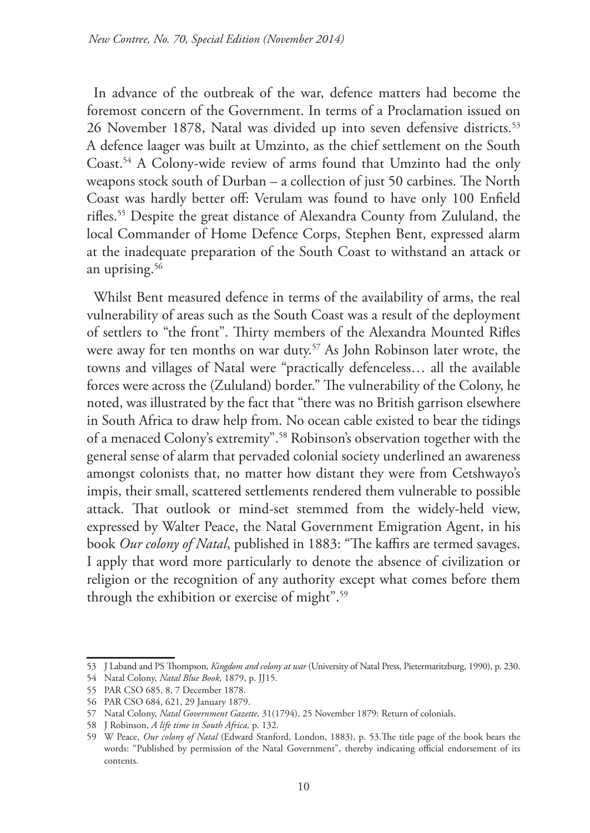In advance of the outbreak of the war, defence matters had become the foremost concern of the Government. In terms of a Proclamation issued on 26 November 1878, Natal was divided up into seven defensive districts.<sup>53</sup> A defence laager was built at Umzinto, as the chief settlement on the South Coast.54 A Colony-wide review of arms found that Umzinto had the only weapons stock south of Durban – a collection of just 50 carbines. The North Coast was hardly better off: Verulam was found to have only 100 Enfield rifles.55 Despite the great distance of Alexandra County from Zululand, the local Commander of Home Defence Corps, Stephen Bent, expressed alarm at the inadequate preparation of the South Coast to withstand an attack or an uprising.<sup>56</sup>

Whilst Bent measured defence in terms of the availability of arms, the real vulnerability of areas such as the South Coast was a result of the deployment of settlers to "the front". Thirty members of the Alexandra Mounted Rifles were away for ten months on war duty.<sup>57</sup> As John Robinson later wrote, the towns and villages of Natal were "practically defenceless… all the available forces were across the (Zululand) border." The vulnerability of the Colony, he noted, was illustrated by the fact that "there was no British garrison elsewhere in South Africa to draw help from. No ocean cable existed to bear the tidings of a menaced Colony's extremity".58 Robinson's observation together with the general sense of alarm that pervaded colonial society underlined an awareness amongst colonists that, no matter how distant they were from Cetshwayo's impis, their small, scattered settlements rendered them vulnerable to possible attack. That outlook or mind-set stemmed from the widely-held view, expressed by Walter Peace, the Natal Government Emigration Agent, in his book *Our colony of Natal*, published in 1883: "The kaffirs are termed savages. I apply that word more particularly to denote the absence of civilization or religion or the recognition of any authority except what comes before them through the exhibition or exercise of might".59

<sup>53</sup> J Laband and PS Thompson, *Kingdom and colony at war* (University of Natal Press, Pietermaritzburg, 1990), p. 230.

<sup>54</sup> Natal Colony, *Natal Blue Book,* 1879, p. JJ15.

<sup>55</sup> PAR CSO 685, 8, 7 December 1878.

<sup>56</sup> PAR CSO 684, 621, 29 January 1879.

<sup>57</sup> Natal Colony, *Natal Government Gazette,* 31(1794), 25 November 1879: Return of colonials.

<sup>58</sup> J Robinson, *A life time in South Africa,* p. 132.

<sup>59</sup> W Peace, *Our colony of Natal* (Edward Stanford, London, 1883), p. 53.The title page of the book bears the words: "Published by permission of the Natal Government", thereby indicating official endorsement of its contents.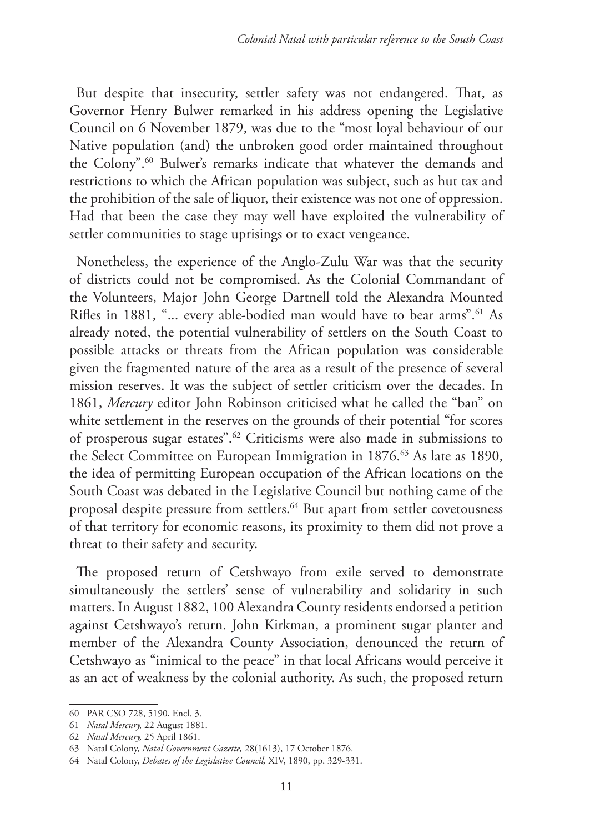But despite that insecurity, settler safety was not endangered. That, as Governor Henry Bulwer remarked in his address opening the Legislative Council on 6 November 1879, was due to the "most loyal behaviour of our Native population (and) the unbroken good order maintained throughout the Colony".<sup>60</sup> Bulwer's remarks indicate that whatever the demands and restrictions to which the African population was subject, such as hut tax and the prohibition of the sale of liquor, their existence was not one of oppression. Had that been the case they may well have exploited the vulnerability of settler communities to stage uprisings or to exact vengeance.

Nonetheless, the experience of the Anglo-Zulu War was that the security of districts could not be compromised. As the Colonial Commandant of the Volunteers, Major John George Dartnell told the Alexandra Mounted Rifles in 1881, "... every able-bodied man would have to bear arms".<sup>61</sup> As already noted, the potential vulnerability of settlers on the South Coast to possible attacks or threats from the African population was considerable given the fragmented nature of the area as a result of the presence of several mission reserves. It was the subject of settler criticism over the decades. In 1861, *Mercury* editor John Robinson criticised what he called the "ban" on white settlement in the reserves on the grounds of their potential "for scores of prosperous sugar estates".62 Criticisms were also made in submissions to the Select Committee on European Immigration in 1876.<sup>63</sup> As late as 1890, the idea of permitting European occupation of the African locations on the South Coast was debated in the Legislative Council but nothing came of the proposal despite pressure from settlers.<sup>64</sup> But apart from settler covetousness of that territory for economic reasons, its proximity to them did not prove a threat to their safety and security.

The proposed return of Cetshwayo from exile served to demonstrate simultaneously the settlers' sense of vulnerability and solidarity in such matters. In August 1882, 100 Alexandra County residents endorsed a petition against Cetshwayo's return. John Kirkman, a prominent sugar planter and member of the Alexandra County Association, denounced the return of Cetshwayo as "inimical to the peace" in that local Africans would perceive it as an act of weakness by the colonial authority. As such, the proposed return

<sup>60</sup> PAR CSO 728, 5190, Encl. 3.

<sup>61</sup> *Natal Mercury,* 22 August 1881.

<sup>62</sup> *Natal Mercury,* 25 April 1861.

<sup>63</sup> Natal Colony, *Natal Government Gazette,* 28(1613), 17 October 1876.

<sup>64</sup> Natal Colony, *Debates of the Legislative Council,* XIV, 1890, pp. 329-331.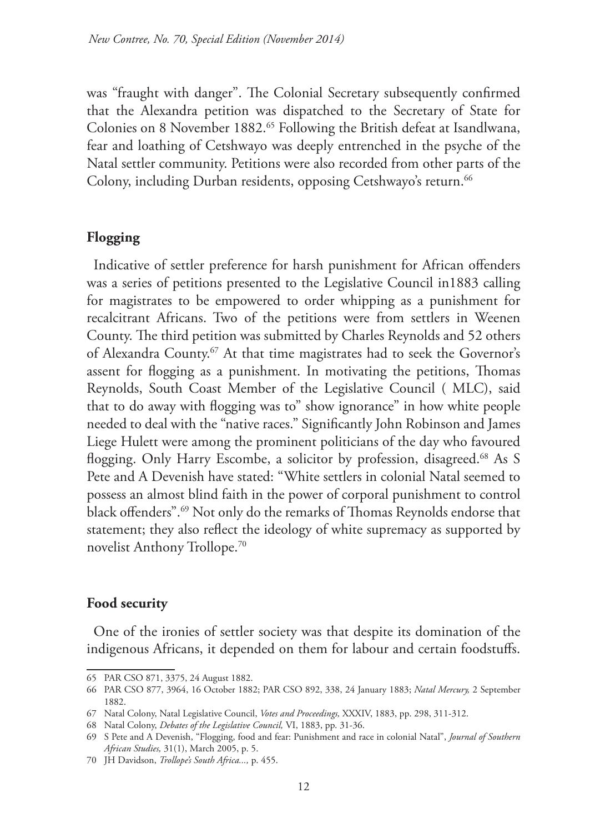was "fraught with danger". The Colonial Secretary subsequently confirmed that the Alexandra petition was dispatched to the Secretary of State for Colonies on 8 November 1882.<sup>65</sup> Following the British defeat at Isandlwana, fear and loathing of Cetshwayo was deeply entrenched in the psyche of the Natal settler community. Petitions were also recorded from other parts of the Colony, including Durban residents, opposing Cetshwayo's return.<sup>66</sup>

# **Flogging**

Indicative of settler preference for harsh punishment for African offenders was a series of petitions presented to the Legislative Council in1883 calling for magistrates to be empowered to order whipping as a punishment for recalcitrant Africans. Two of the petitions were from settlers in Weenen County. The third petition was submitted by Charles Reynolds and 52 others of Alexandra County.<sup>67</sup> At that time magistrates had to seek the Governor's assent for flogging as a punishment. In motivating the petitions, Thomas Reynolds, South Coast Member of the Legislative Council ( MLC), said that to do away with flogging was to" show ignorance" in how white people needed to deal with the "native races." Significantly John Robinson and James Liege Hulett were among the prominent politicians of the day who favoured flogging. Only Harry Escombe, a solicitor by profession, disagreed.<sup>68</sup> As S Pete and A Devenish have stated: "White settlers in colonial Natal seemed to possess an almost blind faith in the power of corporal punishment to control black offenders".69 Not only do the remarks of Thomas Reynolds endorse that statement; they also reflect the ideology of white supremacy as supported by novelist Anthony Trollope.70

# **Food security**

One of the ironies of settler society was that despite its domination of the indigenous Africans, it depended on them for labour and certain foodstuffs.

<sup>65</sup> PAR CSO 871, 3375, 24 August 1882.

<sup>66</sup> PAR CSO 877, 3964, 16 October 1882; PAR CSO 892, 338, 24 January 1883; *Natal Mercury,* 2 September 1882.

<sup>67</sup> Natal Colony, Natal Legislative Council, *Votes and Proceedings,* XXXIV, 1883, pp. 298, 311-312.

<sup>68</sup> Natal Colony, *Debates of the Legislative Council,* VI, 1883, pp. 31-36.

<sup>69</sup> S Pete and A Devenish, "Flogging, food and fear: Punishment and race in colonial Natal", *Journal of Southern African Studies,* 31(1), March 2005, p. 5.

<sup>70</sup> JH Davidson, *Trollope's South Africa...,* p. 455.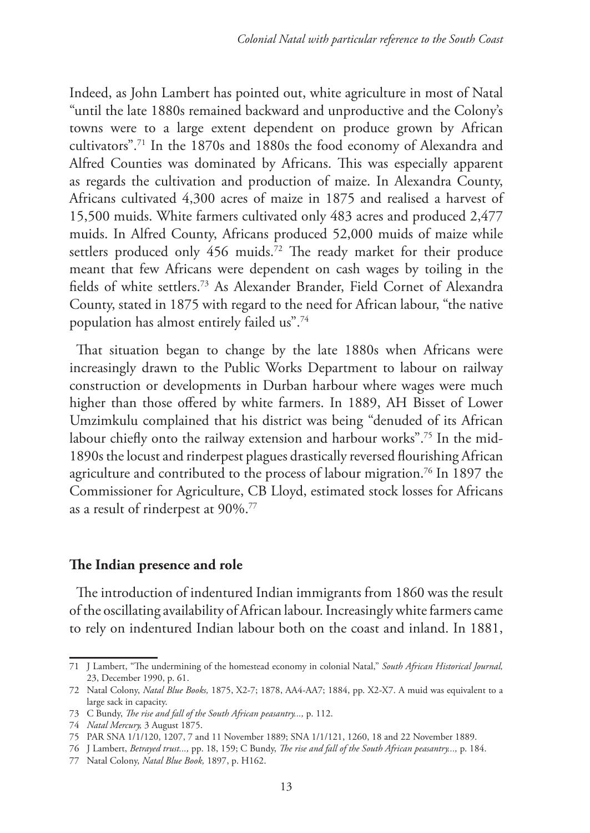Indeed, as John Lambert has pointed out, white agriculture in most of Natal "until the late 1880s remained backward and unproductive and the Colony's towns were to a large extent dependent on produce grown by African cultivators".71 In the 1870s and 1880s the food economy of Alexandra and Alfred Counties was dominated by Africans. This was especially apparent as regards the cultivation and production of maize. In Alexandra County, Africans cultivated 4,300 acres of maize in 1875 and realised a harvest of 15,500 muids. White farmers cultivated only 483 acres and produced 2,477 muids. In Alfred County, Africans produced 52,000 muids of maize while settlers produced only 456 muids.<sup>72</sup> The ready market for their produce meant that few Africans were dependent on cash wages by toiling in the fields of white settlers.73 As Alexander Brander, Field Cornet of Alexandra County, stated in 1875 with regard to the need for African labour, "the native population has almost entirely failed us".74

That situation began to change by the late 1880s when Africans were increasingly drawn to the Public Works Department to labour on railway construction or developments in Durban harbour where wages were much higher than those offered by white farmers. In 1889, AH Bisset of Lower Umzimkulu complained that his district was being "denuded of its African labour chiefly onto the railway extension and harbour works".75 In the mid-1890s the locust and rinderpest plagues drastically reversed flourishing African agriculture and contributed to the process of labour migration.<sup>76</sup> In 1897 the Commissioner for Agriculture, CB Lloyd, estimated stock losses for Africans as a result of rinderpest at 90%.77

## **The Indian presence and role**

The introduction of indentured Indian immigrants from 1860 was the result of the oscillating availability of African labour. Increasingly white farmers came to rely on indentured Indian labour both on the coast and inland. In 1881,

<sup>71</sup> J Lambert, "The undermining of the homestead economy in colonial Natal," *South African Historical Journal,* 23, December 1990, p. 61.

<sup>72</sup> Natal Colony, *Natal Blue Books,* 1875, X2-7; 1878, AA4-AA7; 1884, pp. X2-X7. A muid was equivalent to a large sack in capacity.

<sup>73</sup> C Bundy, *The rise and fall of the South African peasantry...,* p. 112.

<sup>74</sup> *Natal Mercury,* 3 August 1875.

<sup>75</sup> PAR SNA 1/1/120, 1207, 7 and 11 November 1889; SNA 1/1/121, 1260, 18 and 22 November 1889.

<sup>76</sup> J Lambert, *Betrayed trust...,* pp. 18, 159; C Bundy, *The rise and fall of the South African peasantry...,* p. 184.

<sup>77</sup> Natal Colony, *Natal Blue Book,* 1897, p. H162.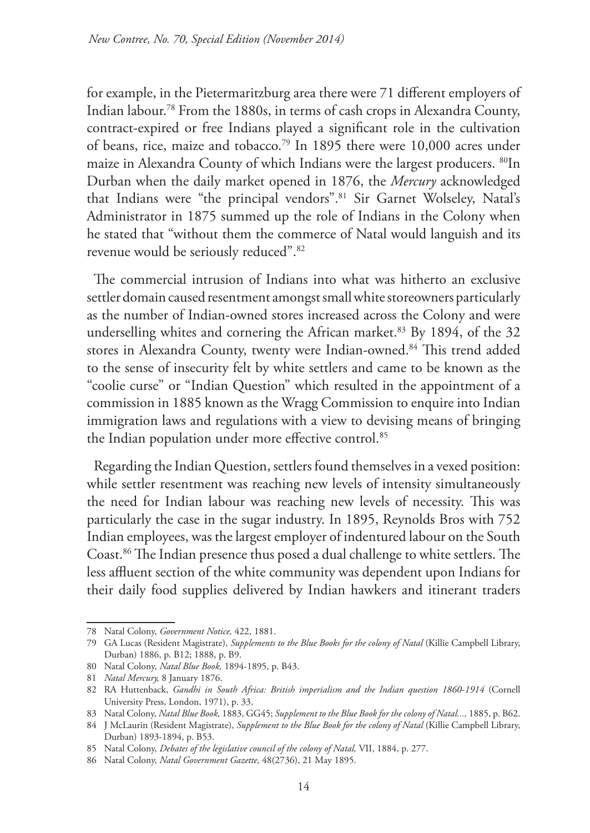for example, in the Pietermaritzburg area there were 71 different employers of Indian labour.78 From the 1880s, in terms of cash crops in Alexandra County, contract-expired or free Indians played a significant role in the cultivation of beans, rice, maize and tobacco.<sup>79</sup> In 1895 there were 10,000 acres under maize in Alexandra County of which Indians were the largest producers. <sup>80</sup>In Durban when the daily market opened in 1876, the *Mercury* acknowledged that Indians were "the principal vendors".<sup>81</sup> Sir Garnet Wolseley, Natal's Administrator in 1875 summed up the role of Indians in the Colony when he stated that "without them the commerce of Natal would languish and its revenue would be seriously reduced".82

The commercial intrusion of Indians into what was hitherto an exclusive settler domain caused resentment amongst small white storeowners particularly as the number of Indian-owned stores increased across the Colony and were underselling whites and cornering the African market.<sup>83</sup> By 1894, of the 32 stores in Alexandra County, twenty were Indian-owned.<sup>84</sup> This trend added to the sense of insecurity felt by white settlers and came to be known as the "coolie curse" or "Indian Question" which resulted in the appointment of a commission in 1885 known as the Wragg Commission to enquire into Indian immigration laws and regulations with a view to devising means of bringing the Indian population under more effective control.<sup>85</sup>

Regarding the Indian Question, settlers found themselves in a vexed position: while settler resentment was reaching new levels of intensity simultaneously the need for Indian labour was reaching new levels of necessity. This was particularly the case in the sugar industry. In 1895, Reynolds Bros with 752 Indian employees, was the largest employer of indentured labour on the South Coast.86 The Indian presence thus posed a dual challenge to white settlers. The less affluent section of the white community was dependent upon Indians for their daily food supplies delivered by Indian hawkers and itinerant traders

<sup>78</sup> Natal Colony, *Government Notice,* 422, 1881.

<sup>79</sup> GA Lucas (Resident Magistrate), *Supplements to the Blue Books for the colony of Natal* (Killie Campbell Library, Durban) 1886, p. B12; 1888, p. B9.

<sup>80</sup> Natal Colony, *Natal Blue Book,* 1894-1895, p. B43.

<sup>81</sup> *Natal Mercury,* 8 January 1876.

<sup>82</sup> RA Huttenback, *Gandhi in South Africa: British imperialism and the Indian question 1860-1914* (Cornell University Press, London, 1971), p. 33.

<sup>83</sup> Natal Colony, *Natal Blue Book,* 1883, GG45; *Supplement to the Blue Book for the colony of Natal...,* 1885, p. B62.

<sup>84</sup> J McLaurin (Resident Magistrate), *Supplement to the Blue Book for the colony of Natal* (Killie Campbell Library, Durban) 1893-1894, p. B53.

<sup>85</sup> Natal Colony, *Debates of the legislative council of the colony of Natal,* VII, 1884, p. 277.

<sup>86</sup> Natal Colony, *Natal Government Gazette,* 48(2736), 21 May 1895.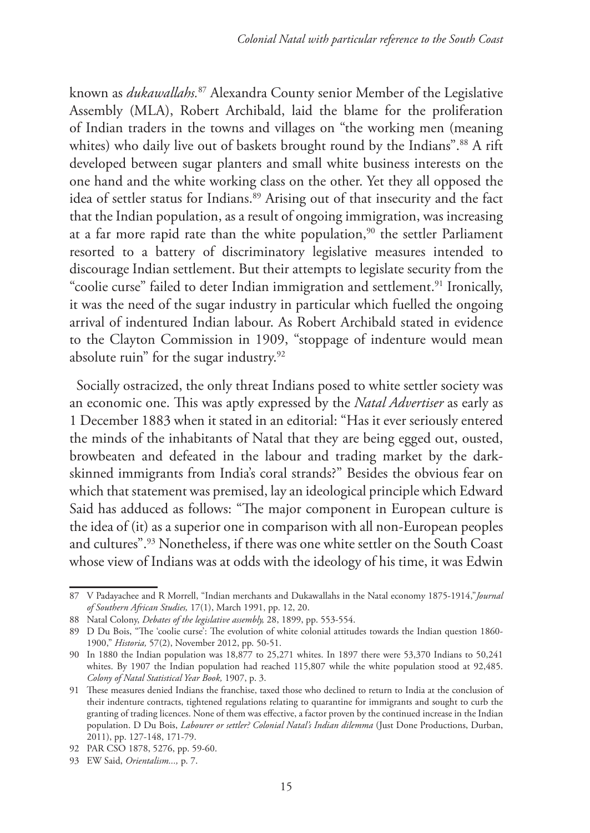known as *dukawallahs.*<sup>87</sup> Alexandra County senior Member of the Legislative Assembly (MLA), Robert Archibald, laid the blame for the proliferation of Indian traders in the towns and villages on "the working men (meaning whites) who daily live out of baskets brought round by the Indians".<sup>88</sup> A rift developed between sugar planters and small white business interests on the one hand and the white working class on the other. Yet they all opposed the idea of settler status for Indians.<sup>89</sup> Arising out of that insecurity and the fact that the Indian population, as a result of ongoing immigration, was increasing at a far more rapid rate than the white population, $90$  the settler Parliament resorted to a battery of discriminatory legislative measures intended to discourage Indian settlement. But their attempts to legislate security from the "coolie curse" failed to deter Indian immigration and settlement.<sup>91</sup> Ironically, it was the need of the sugar industry in particular which fuelled the ongoing arrival of indentured Indian labour. As Robert Archibald stated in evidence to the Clayton Commission in 1909, "stoppage of indenture would mean absolute ruin" for the sugar industry.<sup>92</sup>

Socially ostracized, the only threat Indians posed to white settler society was an economic one. This was aptly expressed by the *Natal Advertiser* as early as 1 December 1883 when it stated in an editorial: "Has it ever seriously entered the minds of the inhabitants of Natal that they are being egged out, ousted, browbeaten and defeated in the labour and trading market by the darkskinned immigrants from India's coral strands?" Besides the obvious fear on which that statement was premised, lay an ideological principle which Edward Said has adduced as follows: "The major component in European culture is the idea of (it) as a superior one in comparison with all non-European peoples and cultures".93 Nonetheless, if there was one white settler on the South Coast whose view of Indians was at odds with the ideology of his time, it was Edwin

<sup>87</sup> V Padayachee and R Morrell, "Indian merchants and Dukawallahs in the Natal economy 1875-1914,"*Journal of Southern African Studies,* 17(1), March 1991, pp. 12, 20.

<sup>88</sup> Natal Colony, *Debates of the legislative assembly,* 28, 1899, pp. 553-554.

<sup>89</sup> D Du Bois, "The 'coolie curse': The evolution of white colonial attitudes towards the Indian question 1860- 1900," *Historia,* 57(2), November 2012, pp. 50-51.

<sup>90</sup> In 1880 the Indian population was 18,877 to 25,271 whites. In 1897 there were 53,370 Indians to 50,241 whites. By 1907 the Indian population had reached 115,807 while the white population stood at 92,485. *Colony of Natal Statistical Year Book,* 1907, p. 3.

<sup>91</sup> These measures denied Indians the franchise, taxed those who declined to return to India at the conclusion of their indenture contracts, tightened regulations relating to quarantine for immigrants and sought to curb the granting of trading licences. None of them was effective, a factor proven by the continued increase in the Indian population. D Du Bois, *Labourer or settler? Colonial Natal's Indian dilemma* (Just Done Productions, Durban, 2011), pp. 127-148, 171-79.

<sup>92</sup> PAR CSO 1878, 5276, pp. 59-60.

<sup>93</sup> EW Said, *Orientalism...,* p. 7.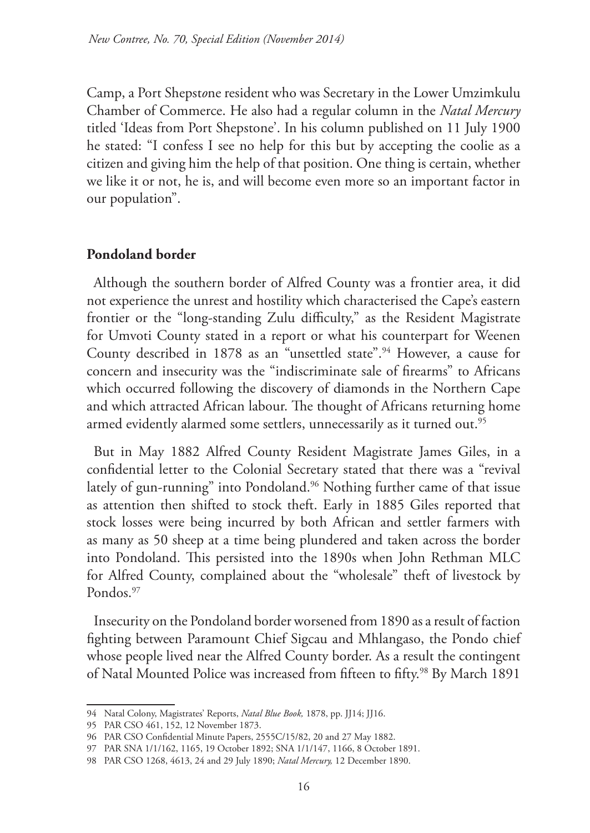Camp, a Port Shepst*o*ne resident who was Secretary in the Lower Umzimkulu Chamber of Commerce. He also had a regular column in the *Natal Mercury* titled 'Ideas from Port Shepstone'. In his column published on 11 July 1900 he stated: "I confess I see no help for this but by accepting the coolie as a citizen and giving him the help of that position. One thing is certain, whether we like it or not, he is, and will become even more so an important factor in our population".

# **Pondoland border**

Although the southern border of Alfred County was a frontier area, it did not experience the unrest and hostility which characterised the Cape's eastern frontier or the "long-standing Zulu difficulty," as the Resident Magistrate for Umvoti County stated in a report or what his counterpart for Weenen County described in 1878 as an "unsettled state".<sup>94</sup> However, a cause for concern and insecurity was the "indiscriminate sale of firearms" to Africans which occurred following the discovery of diamonds in the Northern Cape and which attracted African labour. The thought of Africans returning home armed evidently alarmed some settlers, unnecessarily as it turned out.<sup>95</sup>

But in May 1882 Alfred County Resident Magistrate James Giles, in a confidential letter to the Colonial Secretary stated that there was a "revival lately of gun-running" into Pondoland.<sup>96</sup> Nothing further came of that issue as attention then shifted to stock theft. Early in 1885 Giles reported that stock losses were being incurred by both African and settler farmers with as many as 50 sheep at a time being plundered and taken across the border into Pondoland. This persisted into the 1890s when John Rethman MLC for Alfred County, complained about the "wholesale" theft of livestock by Pondos.<sup>97</sup>

Insecurity on the Pondoland border worsened from 1890 as a result of faction fighting between Paramount Chief Sigcau and Mhlangaso, the Pondo chief whose people lived near the Alfred County border. As a result the contingent of Natal Mounted Police was increased from fifteen to fifty.<sup>98</sup> By March 1891

<sup>94</sup> Natal Colony, Magistrates' Reports, *Natal Blue Book,* 1878, pp. JJ14; JJ16.

<sup>95</sup> PAR CSO 461, 152, 12 November 1873.

<sup>96</sup> PAR CSO Confidential Minute Papers, 2555C/15/82, 20 and 27 May 1882.

<sup>97</sup> PAR SNA 1/1/162, 1165, 19 October 1892; SNA 1/1/147, 1166, 8 October 1891.

<sup>98</sup> PAR CSO 1268, 4613, 24 and 29 July 1890; *Natal Mercury,* 12 December 1890.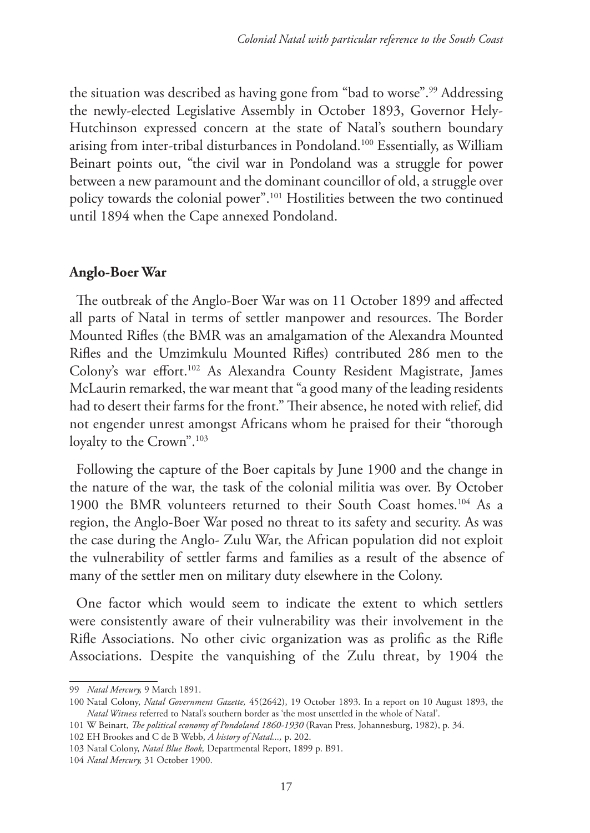the situation was described as having gone from "bad to worse".99 Addressing the newly-elected Legislative Assembly in October 1893, Governor Hely-Hutchinson expressed concern at the state of Natal's southern boundary arising from inter-tribal disturbances in Pondoland.100 Essentially, as William Beinart points out, "the civil war in Pondoland was a struggle for power between a new paramount and the dominant councillor of old, a struggle over policy towards the colonial power".101 Hostilities between the two continued until 1894 when the Cape annexed Pondoland.

## **Anglo-Boer War**

The outbreak of the Anglo-Boer War was on 11 October 1899 and affected all parts of Natal in terms of settler manpower and resources. The Border Mounted Rifles (the BMR was an amalgamation of the Alexandra Mounted Rifles and the Umzimkulu Mounted Rifles) contributed 286 men to the Colony's war effort.102 As Alexandra County Resident Magistrate, James McLaurin remarked, the war meant that "a good many of the leading residents had to desert their farms for the front." Their absence, he noted with relief, did not engender unrest amongst Africans whom he praised for their "thorough loyalty to the Crown".<sup>103</sup>

Following the capture of the Boer capitals by June 1900 and the change in the nature of the war, the task of the colonial militia was over. By October 1900 the BMR volunteers returned to their South Coast homes.<sup>104</sup> As a region, the Anglo-Boer War posed no threat to its safety and security. As was the case during the Anglo- Zulu War, the African population did not exploit the vulnerability of settler farms and families as a result of the absence of many of the settler men on military duty elsewhere in the Colony.

One factor which would seem to indicate the extent to which settlers were consistently aware of their vulnerability was their involvement in the Rifle Associations. No other civic organization was as prolific as the Rifle Associations. Despite the vanquishing of the Zulu threat, by 1904 the

<sup>99</sup> *Natal Mercury,* 9 March 1891.

<sup>100</sup> Natal Colony, *Natal Government Gazette,* 45(2642), 19 October 1893. In a report on 10 August 1893, the *Natal Witness* referred to Natal's southern border as 'the most unsettled in the whole of Natal'.

<sup>101</sup> W Beinart, *The political economy of Pondoland 1860-1930* (Ravan Press, Johannesburg, 1982), p. 34.

<sup>102</sup> EH Brookes and C de B Webb, *A history of Natal...,* p. 202.

<sup>103</sup> Natal Colony, *Natal Blue Book,* Departmental Report, 1899 p. B91.

<sup>104</sup> *Natal Mercury,* 31 October 1900.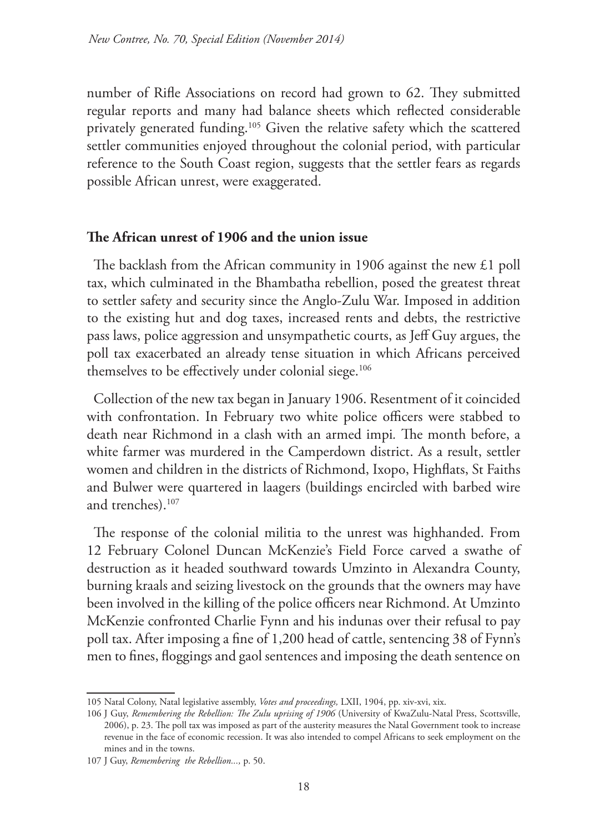number of Rifle Associations on record had grown to 62. They submitted regular reports and many had balance sheets which reflected considerable privately generated funding.105 Given the relative safety which the scattered settler communities enjoyed throughout the colonial period, with particular reference to the South Coast region, suggests that the settler fears as regards possible African unrest, were exaggerated.

## **The African unrest of 1906 and the union issue**

The backlash from the African community in 1906 against the new £1 poll tax, which culminated in the Bhambatha rebellion, posed the greatest threat to settler safety and security since the Anglo-Zulu War. Imposed in addition to the existing hut and dog taxes, increased rents and debts, the restrictive pass laws, police aggression and unsympathetic courts, as Jeff Guy argues, the poll tax exacerbated an already tense situation in which Africans perceived themselves to be effectively under colonial siege.<sup>106</sup>

Collection of the new tax began in January 1906. Resentment of it coincided with confrontation. In February two white police officers were stabbed to death near Richmond in a clash with an armed impi*.* The month before, a white farmer was murdered in the Camperdown district. As a result, settler women and children in the districts of Richmond, Ixopo, Highflats, St Faiths and Bulwer were quartered in laagers (buildings encircled with barbed wire and trenches).<sup>107</sup>

The response of the colonial militia to the unrest was highhanded. From 12 February Colonel Duncan McKenzie's Field Force carved a swathe of destruction as it headed southward towards Umzinto in Alexandra County, burning kraals and seizing livestock on the grounds that the owners may have been involved in the killing of the police officers near Richmond. At Umzinto McKenzie confronted Charlie Fynn and his indunas over their refusal to pay poll tax. After imposing a fine of 1,200 head of cattle, sentencing 38 of Fynn's men to fines, floggings and gaol sentences and imposing the death sentence on

<sup>105</sup> Natal Colony, Natal legislative assembly, *Votes and proceedings,* LXII, 1904, pp. xiv-xvi, xix.

<sup>106</sup> J Guy, *Remembering the Rebellion: The Zulu uprising of 1906* (University of KwaZulu-Natal Press, Scottsville, 2006), p. 23. The poll tax was imposed as part of the austerity measures the Natal Government took to increase revenue in the face of economic recession. It was also intended to compel Africans to seek employment on the mines and in the towns.

<sup>107</sup> J Guy, *Remembering the Rebellion...,* p. 50.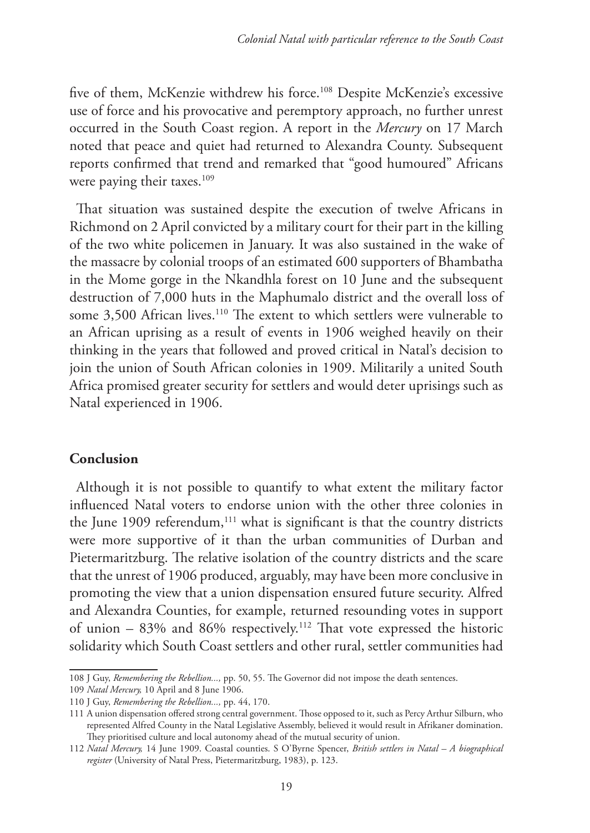five of them, McKenzie withdrew his force.108 Despite McKenzie's excessive use of force and his provocative and peremptory approach, no further unrest occurred in the South Coast region. A report in the *Mercury* on 17 March noted that peace and quiet had returned to Alexandra County. Subsequent reports confirmed that trend and remarked that "good humoured" Africans were paying their taxes.<sup>109</sup>

That situation was sustained despite the execution of twelve Africans in Richmond on 2 April convicted by a military court for their part in the killing of the two white policemen in January. It was also sustained in the wake of the massacre by colonial troops of an estimated 600 supporters of Bhambatha in the Mome gorge in the Nkandhla forest on 10 June and the subsequent destruction of 7,000 huts in the Maphumalo district and the overall loss of some 3,500 African lives.<sup>110</sup> The extent to which settlers were vulnerable to an African uprising as a result of events in 1906 weighed heavily on their thinking in the years that followed and proved critical in Natal's decision to join the union of South African colonies in 1909. Militarily a united South Africa promised greater security for settlers and would deter uprisings such as Natal experienced in 1906.

## **Conclusion**

Although it is not possible to quantify to what extent the military factor influenced Natal voters to endorse union with the other three colonies in the June 1909 referendum,<sup>111</sup> what is significant is that the country districts were more supportive of it than the urban communities of Durban and Pietermaritzburg. The relative isolation of the country districts and the scare that the unrest of 1906 produced, arguably, may have been more conclusive in promoting the view that a union dispensation ensured future security. Alfred and Alexandra Counties, for example, returned resounding votes in support of union  $-$  83% and 86% respectively.<sup>112</sup> That vote expressed the historic solidarity which South Coast settlers and other rural, settler communities had

<sup>108</sup> J Guy, *Remembering the Rebellion...,* pp. 50, 55. The Governor did not impose the death sentences.

<sup>109</sup> *Natal Mercury,* 10 April and 8 June 1906.

<sup>110</sup> J Guy, *Remembering the Rebellion...,* pp. 44, 170.

<sup>111</sup> A union dispensation offered strong central government. Those opposed to it, such as Percy Arthur Silburn, who represented Alfred County in the Natal Legislative Assembly, believed it would result in Afrikaner domination. They prioritised culture and local autonomy ahead of the mutual security of union.

<sup>112</sup> *Natal Mercury,* 14 June 1909. Coastal counties. S O'Byrne Spencer, *British settlers in Natal – A biographical register* (University of Natal Press, Pietermaritzburg, 1983), p. 123.